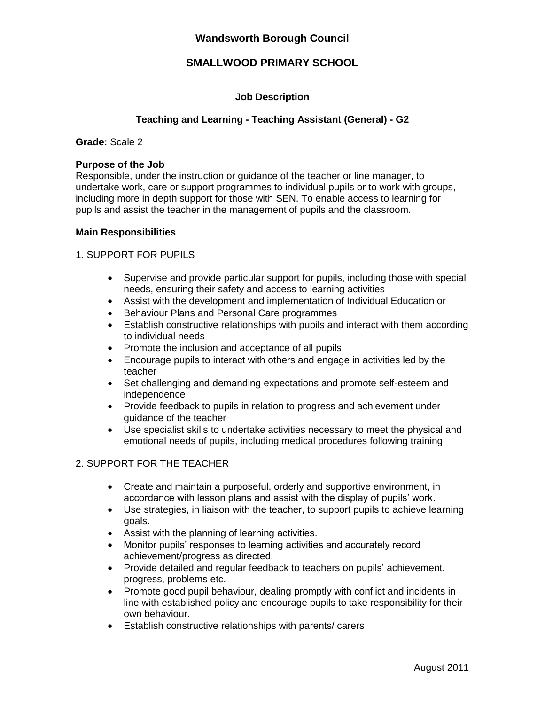## **Wandsworth Borough Council**

## **SMALLWOOD PRIMARY SCHOOL**

### **Job Description**

### **Teaching and Learning - Teaching Assistant (General) - G2**

### **Grade:** Scale 2

#### **Purpose of the Job**

Responsible, under the instruction or guidance of the teacher or line manager, to undertake work, care or support programmes to individual pupils or to work with groups, including more in depth support for those with SEN. To enable access to learning for pupils and assist the teacher in the management of pupils and the classroom.

#### **Main Responsibilities**

### 1. SUPPORT FOR PUPILS

- Supervise and provide particular support for pupils, including those with special needs, ensuring their safety and access to learning activities
- Assist with the development and implementation of Individual Education or
- Behaviour Plans and Personal Care programmes
- Establish constructive relationships with pupils and interact with them according to individual needs
- Promote the inclusion and acceptance of all pupils
- Encourage pupils to interact with others and engage in activities led by the teacher
- Set challenging and demanding expectations and promote self-esteem and independence
- Provide feedback to pupils in relation to progress and achievement under guidance of the teacher
- Use specialist skills to undertake activities necessary to meet the physical and emotional needs of pupils, including medical procedures following training

### 2. SUPPORT FOR THE TEACHER

- Create and maintain a purposeful, orderly and supportive environment, in accordance with lesson plans and assist with the display of pupils' work.
- Use strategies, in liaison with the teacher, to support pupils to achieve learning goals.
- Assist with the planning of learning activities.
- Monitor pupils' responses to learning activities and accurately record achievement/progress as directed.
- Provide detailed and regular feedback to teachers on pupils' achievement, progress, problems etc.
- Promote good pupil behaviour, dealing promptly with conflict and incidents in line with established policy and encourage pupils to take responsibility for their own behaviour.
- Establish constructive relationships with parents/ carers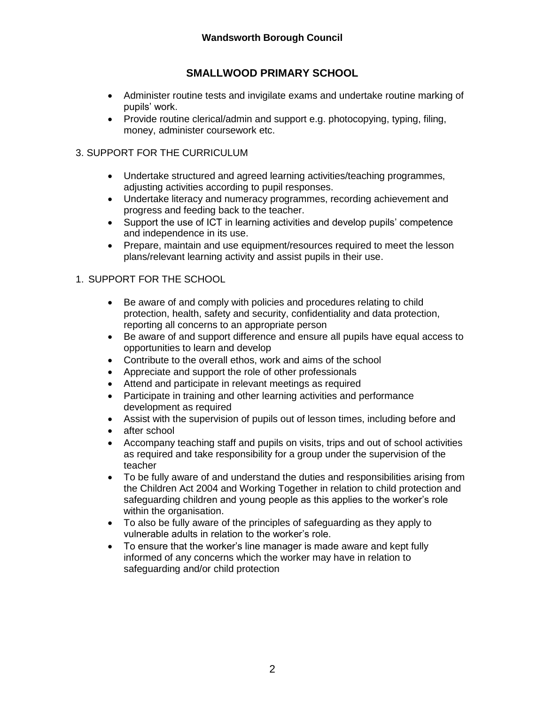# **SMALLWOOD PRIMARY SCHOOL**

- Administer routine tests and invigilate exams and undertake routine marking of pupils' work.
- Provide routine clerical/admin and support e.g. photocopying, typing, filing, money, administer coursework etc.

## 3. SUPPORT FOR THE CURRICULUM

- Undertake structured and agreed learning activities/teaching programmes, adjusting activities according to pupil responses.
- Undertake literacy and numeracy programmes, recording achievement and progress and feeding back to the teacher.
- Support the use of ICT in learning activities and develop pupils' competence and independence in its use.
- Prepare, maintain and use equipment/resources required to meet the lesson plans/relevant learning activity and assist pupils in their use.

## 1. SUPPORT FOR THE SCHOOL

- Be aware of and comply with policies and procedures relating to child protection, health, safety and security, confidentiality and data protection, reporting all concerns to an appropriate person
- Be aware of and support difference and ensure all pupils have equal access to opportunities to learn and develop
- Contribute to the overall ethos, work and aims of the school
- Appreciate and support the role of other professionals
- Attend and participate in relevant meetings as required
- Participate in training and other learning activities and performance development as required
- Assist with the supervision of pupils out of lesson times, including before and
- after school
- Accompany teaching staff and pupils on visits, trips and out of school activities as required and take responsibility for a group under the supervision of the teacher
- To be fully aware of and understand the duties and responsibilities arising from the Children Act 2004 and Working Together in relation to child protection and safeguarding children and young people as this applies to the worker's role within the organisation.
- To also be fully aware of the principles of safeguarding as they apply to vulnerable adults in relation to the worker's role.
- To ensure that the worker's line manager is made aware and kept fully informed of any concerns which the worker may have in relation to safeguarding and/or child protection